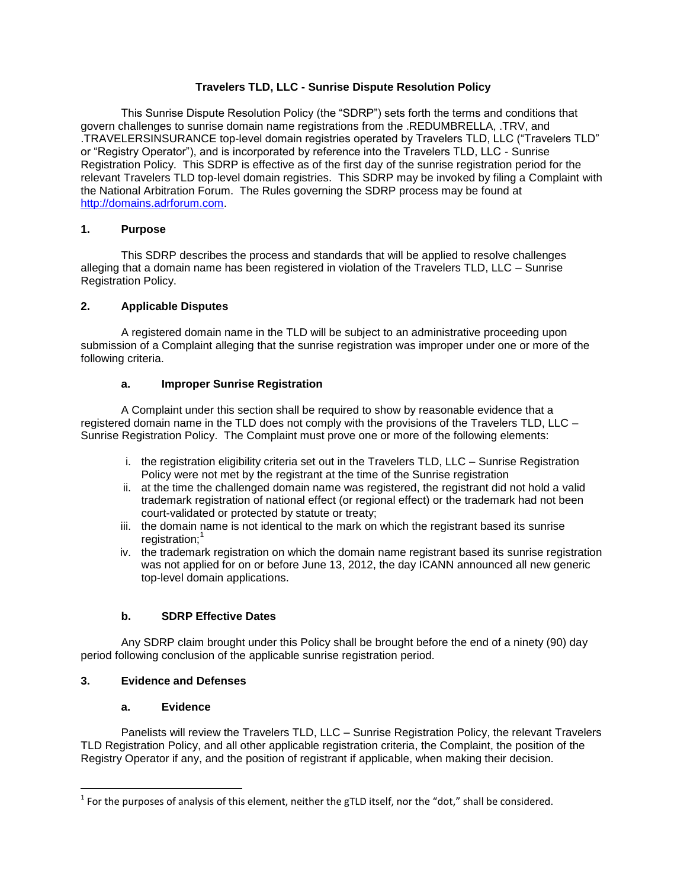# **Travelers TLD, LLC - Sunrise Dispute Resolution Policy**

This Sunrise Dispute Resolution Policy (the "SDRP") sets forth the terms and conditions that govern challenges to sunrise domain name registrations from the .REDUMBRELLA, .TRV, and .TRAVELERSINSURANCE top-level domain registries operated by Travelers TLD, LLC ("Travelers TLD" or "Registry Operator"), and is incorporated by reference into the Travelers TLD, LLC - Sunrise Registration Policy. This SDRP is effective as of the first day of the sunrise registration period for the relevant Travelers TLD top-level domain registries. This SDRP may be invoked by filing a Complaint with the National Arbitration Forum. The Rules governing the SDRP process may be found at http://domains.adrforum.com.

### **1. Purpose**

This SDRP describes the process and standards that will be applied to resolve challenges alleging that a domain name has been registered in violation of the Travelers TLD, LLC – Sunrise Registration Policy.

#### **2. Applicable Disputes**

A registered domain name in the TLD will be subject to an administrative proceeding upon submission of a Complaint alleging that the sunrise registration was improper under one or more of the following criteria.

#### **a. Improper Sunrise Registration**

A Complaint under this section shall be required to show by reasonable evidence that a registered domain name in the TLD does not comply with the provisions of the Travelers TLD, LLC – Sunrise Registration Policy. The Complaint must prove one or more of the following elements:

- i. the registration eligibility criteria set out in the Travelers TLD, LLC Sunrise Registration Policy were not met by the registrant at the time of the Sunrise registration
- ii. at the time the challenged domain name was registered, the registrant did not hold a valid trademark registration of national effect (or regional effect) or the trademark had not been court-validated or protected by statute or treaty;
- iii. the domain name is not identical to the mark on which the registrant based its sunrise registration;<sup>1</sup>
- iv. the trademark registration on which the domain name registrant based its sunrise registration was not applied for on or before June 13, 2012, the day ICANN announced all new generic top-level domain applications.

# **b. SDRP Effective Dates**

Any SDRP claim brought under this Policy shall be brought before the end of a ninety (90) day period following conclusion of the applicable sunrise registration period.

#### **3. Evidence and Defenses**

 $\overline{\phantom{a}}$ 

#### **a. Evidence**

Panelists will review the Travelers TLD, LLC – Sunrise Registration Policy, the relevant Travelers TLD Registration Policy, and all other applicable registration criteria, the Complaint, the position of the Registry Operator if any, and the position of registrant if applicable, when making their decision.

<sup>&</sup>lt;sup>1</sup> For the purposes of analysis of this element, neither the gTLD itself, nor the "dot," shall be considered.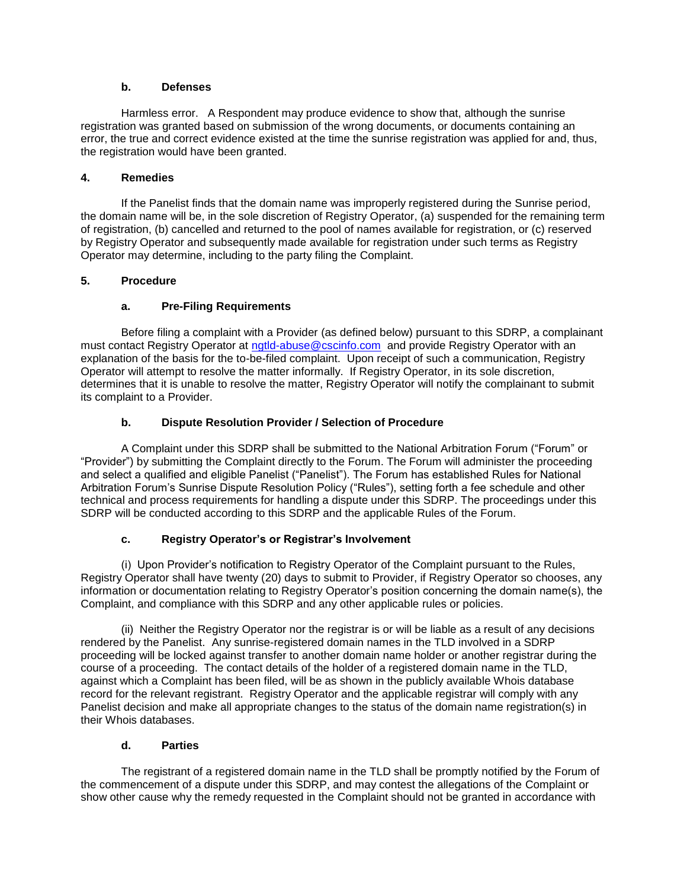### **b. Defenses**

Harmless error. A Respondent may produce evidence to show that, although the sunrise registration was granted based on submission of the wrong documents, or documents containing an error, the true and correct evidence existed at the time the sunrise registration was applied for and, thus, the registration would have been granted.

### **4. Remedies**

If the Panelist finds that the domain name was improperly registered during the Sunrise period, the domain name will be, in the sole discretion of Registry Operator, (a) suspended for the remaining term of registration, (b) cancelled and returned to the pool of names available for registration, or (c) reserved by Registry Operator and subsequently made available for registration under such terms as Registry Operator may determine, including to the party filing the Complaint.

# **5. Procedure**

# **a. Pre-Filing Requirements**

Before filing a complaint with a Provider (as defined below) pursuant to this SDRP, a complainant must contact Registry Operator at [ngtld-abuse@cscinfo.com](mailto:ngtld-abuse@cscinfo.com) and provide Registry Operator with an explanation of the basis for the to-be-filed complaint. Upon receipt of such a communication, Registry Operator will attempt to resolve the matter informally. If Registry Operator, in its sole discretion, determines that it is unable to resolve the matter, Registry Operator will notify the complainant to submit its complaint to a Provider.

# **b. Dispute Resolution Provider / Selection of Procedure**

A Complaint under this SDRP shall be submitted to the National Arbitration Forum ("Forum" or "Provider") by submitting the Complaint directly to the Forum. The Forum will administer the proceeding and select a qualified and eligible Panelist ("Panelist"). The Forum has established Rules for National Arbitration Forum's Sunrise Dispute Resolution Policy ("Rules"), setting forth a fee schedule and other technical and process requirements for handling a dispute under this SDRP. The proceedings under this SDRP will be conducted according to this SDRP and the applicable Rules of the Forum.

# **c. Registry Operator's or Registrar's Involvement**

(i) Upon Provider's notification to Registry Operator of the Complaint pursuant to the Rules, Registry Operator shall have twenty (20) days to submit to Provider, if Registry Operator so chooses, any information or documentation relating to Registry Operator's position concerning the domain name(s), the Complaint, and compliance with this SDRP and any other applicable rules or policies.

(ii) Neither the Registry Operator nor the registrar is or will be liable as a result of any decisions rendered by the Panelist. Any sunrise-registered domain names in the TLD involved in a SDRP proceeding will be locked against transfer to another domain name holder or another registrar during the course of a proceeding. The contact details of the holder of a registered domain name in the TLD, against which a Complaint has been filed, will be as shown in the publicly available Whois database record for the relevant registrant. Registry Operator and the applicable registrar will comply with any Panelist decision and make all appropriate changes to the status of the domain name registration(s) in their Whois databases.

# **d. Parties**

The registrant of a registered domain name in the TLD shall be promptly notified by the Forum of the commencement of a dispute under this SDRP, and may contest the allegations of the Complaint or show other cause why the remedy requested in the Complaint should not be granted in accordance with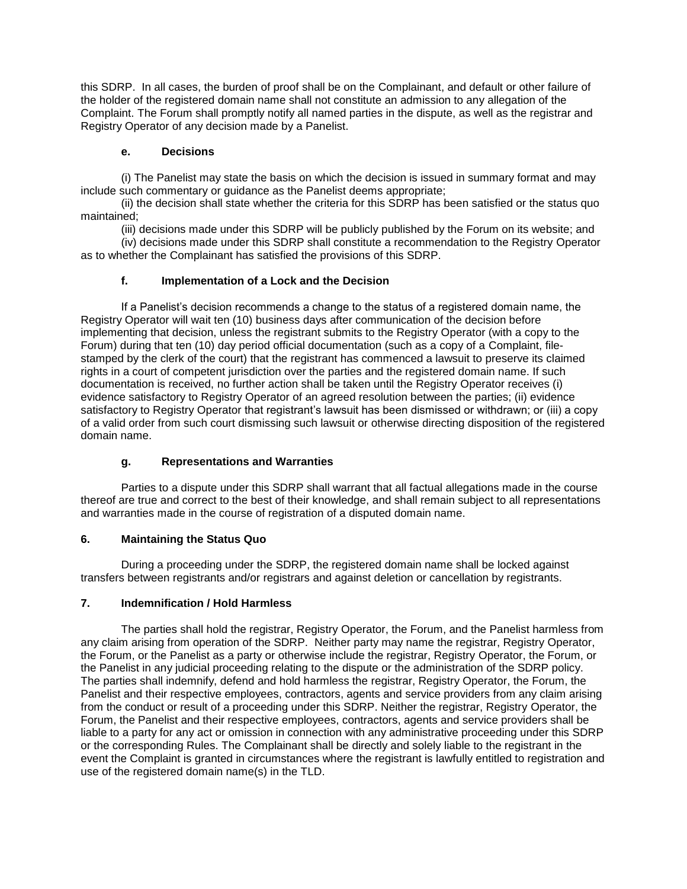this SDRP. In all cases, the burden of proof shall be on the Complainant, and default or other failure of the holder of the registered domain name shall not constitute an admission to any allegation of the Complaint. The Forum shall promptly notify all named parties in the dispute, as well as the registrar and Registry Operator of any decision made by a Panelist.

### **e. Decisions**

(i) The Panelist may state the basis on which the decision is issued in summary format and may include such commentary or guidance as the Panelist deems appropriate;

(ii) the decision shall state whether the criteria for this SDRP has been satisfied or the status quo maintained;

(iii) decisions made under this SDRP will be publicly published by the Forum on its website; and

(iv) decisions made under this SDRP shall constitute a recommendation to the Registry Operator as to whether the Complainant has satisfied the provisions of this SDRP.

# **f. Implementation of a Lock and the Decision**

If a Panelist's decision recommends a change to the status of a registered domain name, the Registry Operator will wait ten (10) business days after communication of the decision before implementing that decision, unless the registrant submits to the Registry Operator (with a copy to the Forum) during that ten (10) day period official documentation (such as a copy of a Complaint, filestamped by the clerk of the court) that the registrant has commenced a lawsuit to preserve its claimed rights in a court of competent jurisdiction over the parties and the registered domain name. If such documentation is received, no further action shall be taken until the Registry Operator receives (i) evidence satisfactory to Registry Operator of an agreed resolution between the parties; (ii) evidence satisfactory to Registry Operator that registrant's lawsuit has been dismissed or withdrawn; or (iii) a copy of a valid order from such court dismissing such lawsuit or otherwise directing disposition of the registered domain name.

# **g. Representations and Warranties**

Parties to a dispute under this SDRP shall warrant that all factual allegations made in the course thereof are true and correct to the best of their knowledge, and shall remain subject to all representations and warranties made in the course of registration of a disputed domain name.

# **6. Maintaining the Status Quo**

During a proceeding under the SDRP, the registered domain name shall be locked against transfers between registrants and/or registrars and against deletion or cancellation by registrants.

#### **7. Indemnification / Hold Harmless**

The parties shall hold the registrar, Registry Operator, the Forum, and the Panelist harmless from any claim arising from operation of the SDRP. Neither party may name the registrar, Registry Operator, the Forum, or the Panelist as a party or otherwise include the registrar, Registry Operator, the Forum, or the Panelist in any judicial proceeding relating to the dispute or the administration of the SDRP policy. The parties shall indemnify, defend and hold harmless the registrar, Registry Operator, the Forum, the Panelist and their respective employees, contractors, agents and service providers from any claim arising from the conduct or result of a proceeding under this SDRP. Neither the registrar, Registry Operator, the Forum, the Panelist and their respective employees, contractors, agents and service providers shall be liable to a party for any act or omission in connection with any administrative proceeding under this SDRP or the corresponding Rules. The Complainant shall be directly and solely liable to the registrant in the event the Complaint is granted in circumstances where the registrant is lawfully entitled to registration and use of the registered domain name(s) in the TLD.